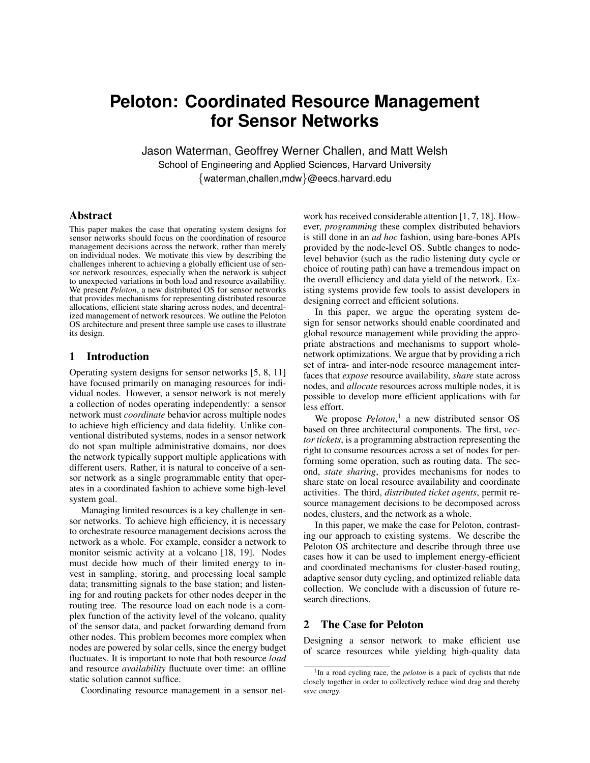# **Peloton: Coordinated Resource Management for Sensor Networks**

Jason Waterman, Geoffrey Werner Challen, and Matt Welsh School of Engineering and Applied Sciences, Harvard University {waterman,challen,mdw}@eecs.harvard.edu

#### Abstract

This paper makes the case that operating system designs for sensor networks should focus on the coordination of resource management decisions across the network, rather than merely on individual nodes. We motivate this view by describing the challenges inherent to achieving a globally efficient use of sensor network resources, especially when the network is subject to unexpected variations in both load and resource availability. We present *Peloton*, a new distributed OS for sensor networks that provides mechanisms for representing distributed resource allocations, efficient state sharing across nodes, and decentralized management of network resources. We outline the Peloton OS architecture and present three sample use cases to illustrate its design.

# 1 Introduction

Operating system designs for sensor networks [5, 8, 11] have focused primarily on managing resources for individual nodes. However, a sensor network is not merely a collection of nodes operating independently: a sensor network must *coordinate* behavior across multiple nodes to achieve high efficiency and data fidelity. Unlike conventional distributed systems, nodes in a sensor network do not span multiple administrative domains, nor does the network typically support multiple applications with different users. Rather, it is natural to conceive of a sensor network as a single programmable entity that operates in a coordinated fashion to achieve some high-level system goal.

Managing limited resources is a key challenge in sensor networks. To achieve high efficiency, it is necessary to orchestrate resource management decisions across the network as a whole. For example, consider a network to monitor seismic activity at a volcano [18, 19]. Nodes must decide how much of their limited energy to invest in sampling, storing, and processing local sample data; transmitting signals to the base station; and listening for and routing packets for other nodes deeper in the routing tree. The resource load on each node is a complex function of the activity level of the volcano, quality of the sensor data, and packet forwarding demand from other nodes. This problem becomes more complex when nodes are powered by solar cells, since the energy budget fluctuates. It is important to note that both resource *load* and resource *availability* fluctuate over time: an offline static solution cannot suffice.

Coordinating resource management in a sensor net-

work has received considerable attention [1, 7, 18]. However, *programming* these complex distributed behaviors is still done in an *ad hoc* fashion, using bare-bones APIs provided by the node-level OS. Subtle changes to nodelevel behavior (such as the radio listening duty cycle or choice of routing path) can have a tremendous impact on the overall efficiency and data yield of the network. Existing systems provide few tools to assist developers in designing correct and efficient solutions.

In this paper, we argue the operating system design for sensor networks should enable coordinated and global resource management while providing the appropriate abstractions and mechanisms to support wholenetwork optimizations. We argue that by providing a rich set of intra- and inter-node resource management interfaces that *expose* resource availability, *share* state across nodes, and *allocate* resources across multiple nodes, it is possible to develop more efficient applications with far less effort.

We propose *Peloton*, 1 a new distributed sensor OS based on three architectural components. The first, *vector tickets*, is a programming abstraction representing the right to consume resources across a set of nodes for performing some operation, such as routing data. The second, *state sharing*, provides mechanisms for nodes to share state on local resource availability and coordinate activities. The third, *distributed ticket agents*, permit resource management decisions to be decomposed across nodes, clusters, and the network as a whole.

In this paper, we make the case for Peloton, contrasting our approach to existing systems. We describe the Peloton OS architecture and describe through three use cases how it can be used to implement energy-efficient and coordinated mechanisms for cluster-based routing, adaptive sensor duty cycling, and optimized reliable data collection. We conclude with a discussion of future research directions.

## 2 The Case for Peloton

Designing a sensor network to make efficient use of scarce resources while yielding high-quality data

<sup>&</sup>lt;sup>1</sup>In a road cycling race, the *peloton* is a pack of cyclists that ride closely together in order to collectively reduce wind drag and thereby save energy.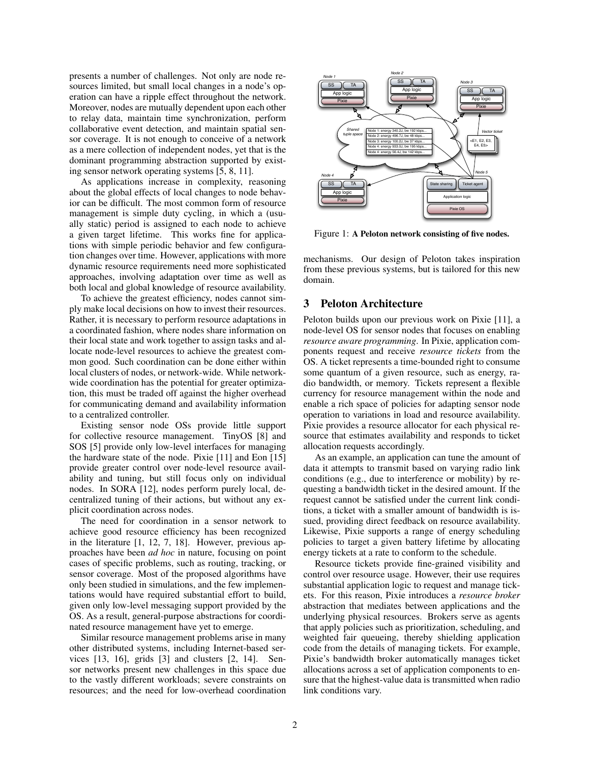presents a number of challenges. Not only are node resources limited, but small local changes in a node's operation can have a ripple effect throughout the network. Moreover, nodes are mutually dependent upon each other to relay data, maintain time synchronization, perform collaborative event detection, and maintain spatial sensor coverage. It is not enough to conceive of a network as a mere collection of independent nodes, yet that is the dominant programming abstraction supported by existing sensor network operating systems [5, 8, 11].

As applications increase in complexity, reasoning about the global effects of local changes to node behavior can be difficult. The most common form of resource management is simple duty cycling, in which a (usually static) period is assigned to each node to achieve a given target lifetime. This works fine for applications with simple periodic behavior and few configuration changes over time. However, applications with more dynamic resource requirements need more sophisticated approaches, involving adaptation over time as well as both local and global knowledge of resource availability.

To achieve the greatest efficiency, nodes cannot simply make local decisions on how to invest their resources. Rather, it is necessary to perform resource adaptations in a coordinated fashion, where nodes share information on their local state and work together to assign tasks and allocate node-level resources to achieve the greatest common good. Such coordination can be done either within local clusters of nodes, or network-wide. While networkwide coordination has the potential for greater optimization, this must be traded off against the higher overhead for communicating demand and availability information to a centralized controller.

Existing sensor node OSs provide little support for collective resource management. TinyOS [8] and SOS [5] provide only low-level interfaces for managing the hardware state of the node. Pixie [11] and Eon [15] provide greater control over node-level resource availability and tuning, but still focus only on individual nodes. In SORA [12], nodes perform purely local, decentralized tuning of their actions, but without any explicit coordination across nodes.

The need for coordination in a sensor network to achieve good resource efficiency has been recognized in the literature [1, 12, 7, 18]. However, previous approaches have been *ad hoc* in nature, focusing on point cases of specific problems, such as routing, tracking, or sensor coverage. Most of the proposed algorithms have only been studied in simulations, and the few implementations would have required substantial effort to build, given only low-level messaging support provided by the OS. As a result, general-purpose abstractions for coordinated resource management have yet to emerge.

Similar resource management problems arise in many other distributed systems, including Internet-based services [13, 16], grids [3] and clusters [2, 14]. Sensor networks present new challenges in this space due to the vastly different workloads; severe constraints on resources; and the need for low-overhead coordination



Figure 1: A Peloton network consisting of five nodes.

mechanisms. Our design of Peloton takes inspiration from these previous systems, but is tailored for this new domain.

## 3 Peloton Architecture

Peloton builds upon our previous work on Pixie [11], a node-level OS for sensor nodes that focuses on enabling *resource aware programming*. In Pixie, application components request and receive *resource tickets* from the OS. A ticket represents a time-bounded right to consume some quantum of a given resource, such as energy, radio bandwidth, or memory. Tickets represent a flexible currency for resource management within the node and enable a rich space of policies for adapting sensor node operation to variations in load and resource availability. Pixie provides a resource allocator for each physical resource that estimates availability and responds to ticket allocation requests accordingly.

As an example, an application can tune the amount of data it attempts to transmit based on varying radio link conditions (e.g., due to interference or mobility) by requesting a bandwidth ticket in the desired amount. If the request cannot be satisfied under the current link conditions, a ticket with a smaller amount of bandwidth is issued, providing direct feedback on resource availability. Likewise, Pixie supports a range of energy scheduling policies to target a given battery lifetime by allocating energy tickets at a rate to conform to the schedule.

Resource tickets provide fine-grained visibility and control over resource usage. However, their use requires substantial application logic to request and manage tickets. For this reason, Pixie introduces a *resource broker* abstraction that mediates between applications and the underlying physical resources. Brokers serve as agents that apply policies such as prioritization, scheduling, and weighted fair queueing, thereby shielding application code from the details of managing tickets. For example, Pixie's bandwidth broker automatically manages ticket allocations across a set of application components to ensure that the highest-value data is transmitted when radio link conditions vary.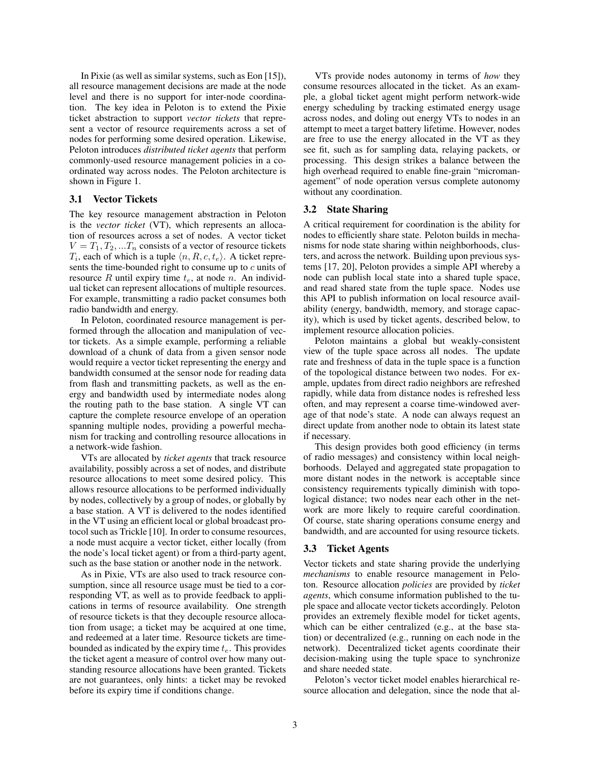In Pixie (as well as similar systems, such as Eon [15]), all resource management decisions are made at the node level and there is no support for inter-node coordination. The key idea in Peloton is to extend the Pixie ticket abstraction to support *vector tickets* that represent a vector of resource requirements across a set of nodes for performing some desired operation. Likewise, Peloton introduces *distributed ticket agents* that perform commonly-used resource management policies in a coordinated way across nodes. The Peloton architecture is shown in Figure 1.

## 3.1 Vector Tickets

The key resource management abstraction in Peloton is the *vector ticket* (VT), which represents an allocation of resources across a set of nodes. A vector ticket  $V = T_1, T_2, ... T_n$  consists of a vector of resource tickets  $T_i$ , each of which is a tuple  $\langle n, R, c, t_e \rangle$ . A ticket represents the time-bounded right to consume up to  $c$  units of resource R until expiry time  $t_e$ , at node n. An individual ticket can represent allocations of multiple resources. For example, transmitting a radio packet consumes both radio bandwidth and energy.

In Peloton, coordinated resource management is performed through the allocation and manipulation of vector tickets. As a simple example, performing a reliable download of a chunk of data from a given sensor node would require a vector ticket representing the energy and bandwidth consumed at the sensor node for reading data from flash and transmitting packets, as well as the energy and bandwidth used by intermediate nodes along the routing path to the base station. A single VT can capture the complete resource envelope of an operation spanning multiple nodes, providing a powerful mechanism for tracking and controlling resource allocations in a network-wide fashion.

VTs are allocated by *ticket agents* that track resource availability, possibly across a set of nodes, and distribute resource allocations to meet some desired policy. This allows resource allocations to be performed individually by nodes, collectively by a group of nodes, or globally by a base station. A VT is delivered to the nodes identified in the VT using an efficient local or global broadcast protocol such as Trickle [10]. In order to consume resources, a node must acquire a vector ticket, either locally (from the node's local ticket agent) or from a third-party agent, such as the base station or another node in the network.

As in Pixie, VTs are also used to track resource consumption, since all resource usage must be tied to a corresponding VT, as well as to provide feedback to applications in terms of resource availability. One strength of resource tickets is that they decouple resource allocation from usage; a ticket may be acquired at one time, and redeemed at a later time. Resource tickets are timebounded as indicated by the expiry time  $t_e$ . This provides the ticket agent a measure of control over how many outstanding resource allocations have been granted. Tickets are not guarantees, only hints: a ticket may be revoked before its expiry time if conditions change.

VTs provide nodes autonomy in terms of *how* they consume resources allocated in the ticket. As an example, a global ticket agent might perform network-wide energy scheduling by tracking estimated energy usage across nodes, and doling out energy VTs to nodes in an attempt to meet a target battery lifetime. However, nodes are free to use the energy allocated in the VT as they see fit, such as for sampling data, relaying packets, or processing. This design strikes a balance between the high overhead required to enable fine-grain "micromanagement" of node operation versus complete autonomy without any coordination.

#### 3.2 State Sharing

A critical requirement for coordination is the ability for nodes to efficiently share state. Peloton builds in mechanisms for node state sharing within neighborhoods, clusters, and across the network. Building upon previous systems [17, 20], Peloton provides a simple API whereby a node can publish local state into a shared tuple space, and read shared state from the tuple space. Nodes use this API to publish information on local resource availability (energy, bandwidth, memory, and storage capacity), which is used by ticket agents, described below, to implement resource allocation policies.

Peloton maintains a global but weakly-consistent view of the tuple space across all nodes. The update rate and freshness of data in the tuple space is a function of the topological distance between two nodes. For example, updates from direct radio neighbors are refreshed rapidly, while data from distance nodes is refreshed less often, and may represent a coarse time-windowed average of that node's state. A node can always request an direct update from another node to obtain its latest state if necessary.

This design provides both good efficiency (in terms of radio messages) and consistency within local neighborhoods. Delayed and aggregated state propagation to more distant nodes in the network is acceptable since consistency requirements typically diminish with topological distance; two nodes near each other in the network are more likely to require careful coordination. Of course, state sharing operations consume energy and bandwidth, and are accounted for using resource tickets.

## 3.3 Ticket Agents

Vector tickets and state sharing provide the underlying *mechanisms* to enable resource management in Peloton. Resource allocation *policies* are provided by *ticket agents*, which consume information published to the tuple space and allocate vector tickets accordingly. Peloton provides an extremely flexible model for ticket agents, which can be either centralized (e.g., at the base station) or decentralized (e.g., running on each node in the network). Decentralized ticket agents coordinate their decision-making using the tuple space to synchronize and share needed state.

Peloton's vector ticket model enables hierarchical resource allocation and delegation, since the node that al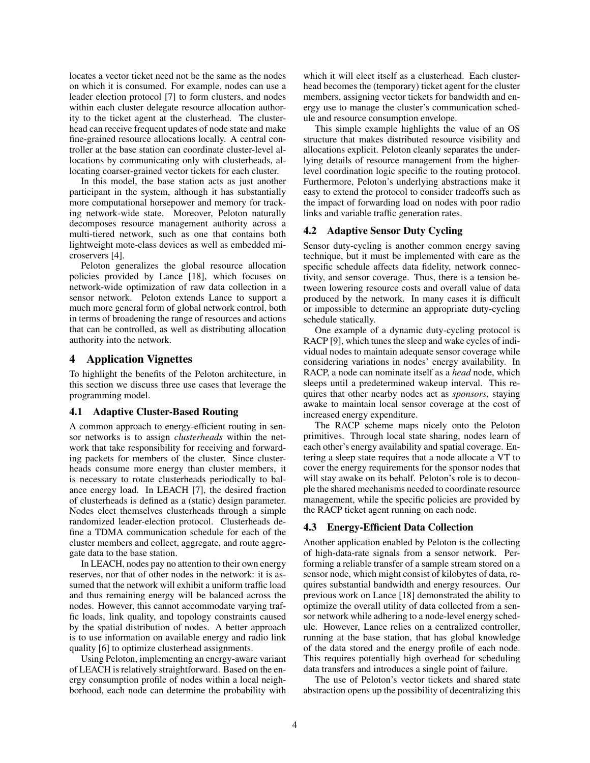locates a vector ticket need not be the same as the nodes on which it is consumed. For example, nodes can use a leader election protocol [7] to form clusters, and nodes within each cluster delegate resource allocation authority to the ticket agent at the clusterhead. The clusterhead can receive frequent updates of node state and make fine-grained resource allocations locally. A central controller at the base station can coordinate cluster-level allocations by communicating only with clusterheads, allocating coarser-grained vector tickets for each cluster.

In this model, the base station acts as just another participant in the system, although it has substantially more computational horsepower and memory for tracking network-wide state. Moreover, Peloton naturally decomposes resource management authority across a multi-tiered network, such as one that contains both lightweight mote-class devices as well as embedded microservers [4].

Peloton generalizes the global resource allocation policies provided by Lance [18], which focuses on network-wide optimization of raw data collection in a sensor network. Peloton extends Lance to support a much more general form of global network control, both in terms of broadening the range of resources and actions that can be controlled, as well as distributing allocation authority into the network.

## 4 Application Vignettes

To highlight the benefits of the Peloton architecture, in this section we discuss three use cases that leverage the programming model.

#### 4.1 Adaptive Cluster-Based Routing

A common approach to energy-efficient routing in sensor networks is to assign *clusterheads* within the network that take responsibility for receiving and forwarding packets for members of the cluster. Since clusterheads consume more energy than cluster members, it is necessary to rotate clusterheads periodically to balance energy load. In LEACH [7], the desired fraction of clusterheads is defined as a (static) design parameter. Nodes elect themselves clusterheads through a simple randomized leader-election protocol. Clusterheads define a TDMA communication schedule for each of the cluster members and collect, aggregate, and route aggregate data to the base station.

In LEACH, nodes pay no attention to their own energy reserves, nor that of other nodes in the network: it is assumed that the network will exhibit a uniform traffic load and thus remaining energy will be balanced across the nodes. However, this cannot accommodate varying traffic loads, link quality, and topology constraints caused by the spatial distribution of nodes. A better approach is to use information on available energy and radio link quality [6] to optimize clusterhead assignments.

Using Peloton, implementing an energy-aware variant of LEACH is relatively straightforward. Based on the energy consumption profile of nodes within a local neighborhood, each node can determine the probability with which it will elect itself as a clusterhead. Each clusterhead becomes the (temporary) ticket agent for the cluster members, assigning vector tickets for bandwidth and energy use to manage the cluster's communication schedule and resource consumption envelope.

This simple example highlights the value of an OS structure that makes distributed resource visibility and allocations explicit. Peloton cleanly separates the underlying details of resource management from the higherlevel coordination logic specific to the routing protocol. Furthermore, Peloton's underlying abstractions make it easy to extend the protocol to consider tradeoffs such as the impact of forwarding load on nodes with poor radio links and variable traffic generation rates.

#### 4.2 Adaptive Sensor Duty Cycling

Sensor duty-cycling is another common energy saving technique, but it must be implemented with care as the specific schedule affects data fidelity, network connectivity, and sensor coverage. Thus, there is a tension between lowering resource costs and overall value of data produced by the network. In many cases it is difficult or impossible to determine an appropriate duty-cycling schedule statically.

One example of a dynamic duty-cycling protocol is RACP [9], which tunes the sleep and wake cycles of individual nodes to maintain adequate sensor coverage while considering variations in nodes' energy availability. In RACP, a node can nominate itself as a *head* node, which sleeps until a predetermined wakeup interval. This requires that other nearby nodes act as *sponsors*, staying awake to maintain local sensor coverage at the cost of increased energy expenditure.

The RACP scheme maps nicely onto the Peloton primitives. Through local state sharing, nodes learn of each other's energy availability and spatial coverage. Entering a sleep state requires that a node allocate a VT to cover the energy requirements for the sponsor nodes that will stay awake on its behalf. Peloton's role is to decouple the shared mechanisms needed to coordinate resource management, while the specific policies are provided by the RACP ticket agent running on each node.

#### 4.3 Energy-Efficient Data Collection

Another application enabled by Peloton is the collecting of high-data-rate signals from a sensor network. Performing a reliable transfer of a sample stream stored on a sensor node, which might consist of kilobytes of data, requires substantial bandwidth and energy resources. Our previous work on Lance [18] demonstrated the ability to optimize the overall utility of data collected from a sensor network while adhering to a node-level energy schedule. However, Lance relies on a centralized controller, running at the base station, that has global knowledge of the data stored and the energy profile of each node. This requires potentially high overhead for scheduling data transfers and introduces a single point of failure.

The use of Peloton's vector tickets and shared state abstraction opens up the possibility of decentralizing this